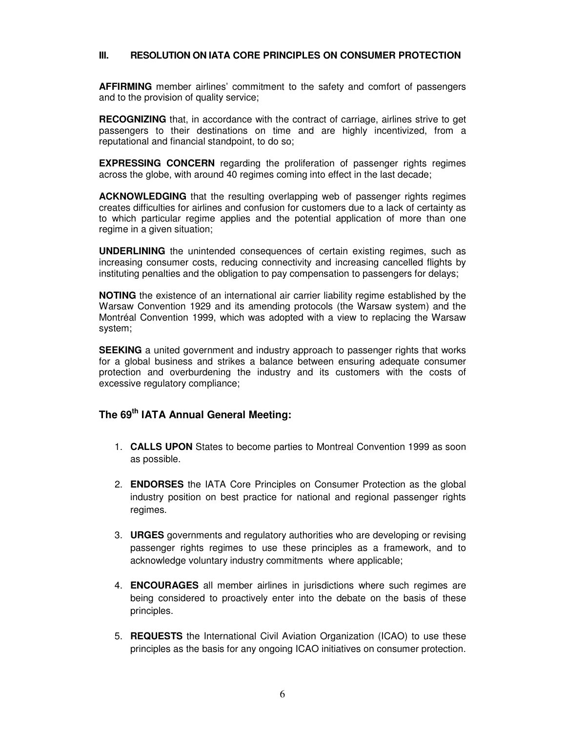## **III. RESOLUTION ON IATA CORE PRINCIPLES ON CONSUMER PROTECTION**

**AFFIRMING** member airlines' commitment to the safety and comfort of passengers and to the provision of quality service;

**RECOGNIZING** that, in accordance with the contract of carriage, airlines strive to get passengers to their destinations on time and are highly incentivized, from a reputational and financial standpoint, to do so;

**EXPRESSING CONCERN** regarding the proliferation of passenger rights regimes across the globe, with around 40 regimes coming into effect in the last decade;

**ACKNOWLEDGING** that the resulting overlapping web of passenger rights regimes creates difficulties for airlines and confusion for customers due to a lack of certainty as to which particular regime applies and the potential application of more than one regime in a given situation;

**UNDERLINING** the unintended consequences of certain existing regimes, such as increasing consumer costs, reducing connectivity and increasing cancelled flights by instituting penalties and the obligation to pay compensation to passengers for delays;

**NOTING** the existence of an international air carrier liability regime established by the Warsaw Convention 1929 and its amending protocols (the Warsaw system) and the Montréal Convention 1999, which was adopted with a view to replacing the Warsaw system;

**SEEKING** a united government and industry approach to passenger rights that works for a global business and strikes a balance between ensuring adequate consumer protection and overburdening the industry and its customers with the costs of excessive regulatory compliance;

## **The 69th IATA Annual General Meeting:**

- 1. **CALLS UPON** States to become parties to Montreal Convention 1999 as soon as possible.
- 2. **ENDORSES** the IATA Core Principles on Consumer Protection as the global industry position on best practice for national and regional passenger rights regimes.
- 3. **URGES** governments and regulatory authorities who are developing or revising passenger rights regimes to use these principles as a framework, and to acknowledge voluntary industry commitments where applicable;
- 4. **ENCOURAGES** all member airlines in jurisdictions where such regimes are being considered to proactively enter into the debate on the basis of these principles.
- 5. **REQUESTS** the International Civil Aviation Organization (ICAO) to use these principles as the basis for any ongoing ICAO initiatives on consumer protection.